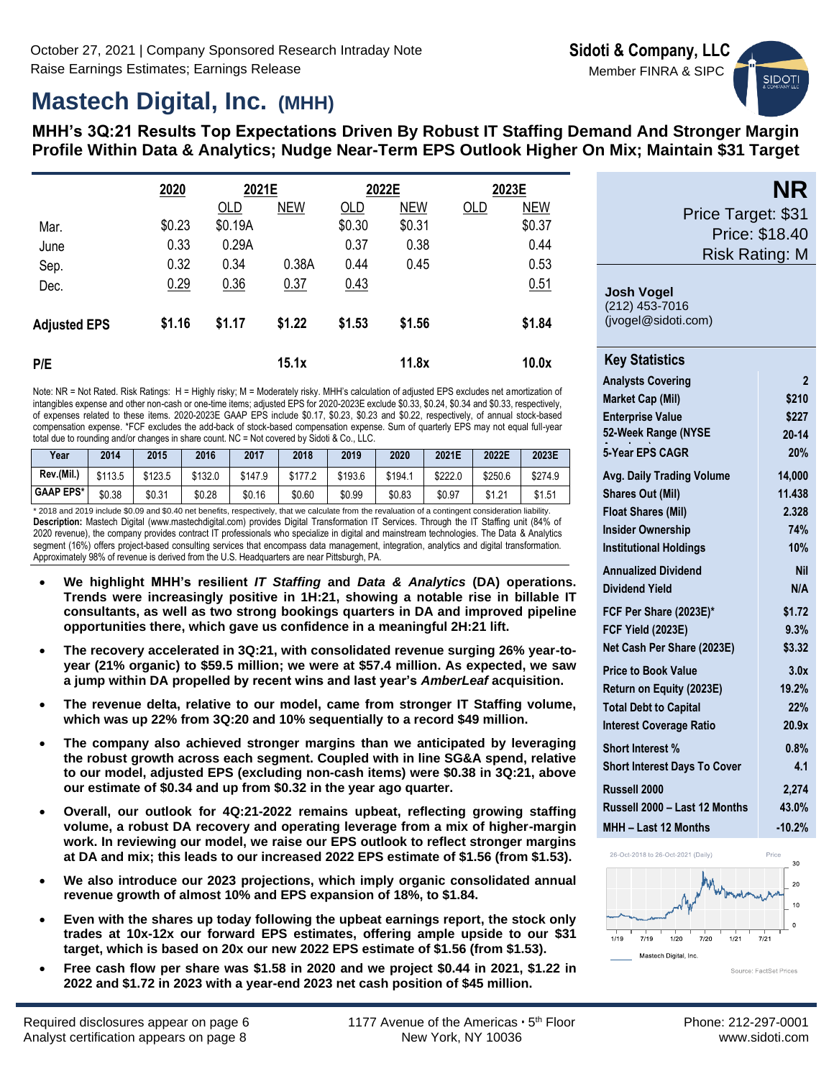# **Mastech Digital, Inc. (MHH)**

**MHH's 3Q:21 Results Top Expectations Driven By Robust IT Staffing Demand And Stronger Margin Profile Within Data & Analytics; Nudge Near-Term EPS Outlook Higher On Mix; Maintain \$31 Target**

|                     | 2020   | 2021E   |            |        | 2022E      |     | 2023E      |
|---------------------|--------|---------|------------|--------|------------|-----|------------|
|                     |        | OLD     | <b>NEW</b> | OLD    | <b>NEW</b> | OLD | <b>NEW</b> |
| Mar.                | \$0.23 | \$0.19A |            | \$0.30 | \$0.31     |     | \$0.37     |
| June                | 0.33   | 0.29A   |            | 0.37   | 0.38       |     | 0.44       |
| Sep.                | 0.32   | 0.34    | 0.38A      | 0.44   | 0.45       |     | 0.53       |
| Dec.                | 0.29   | 0.36    | 0.37       | 0.43   |            |     | 0.51       |
| <b>Adjusted EPS</b> | \$1.16 | \$1.17  | \$1.22     | \$1.53 | \$1.56     |     | \$1.84     |
| P/E                 |        |         | 15.1x      |        | 11.8x      |     | 10.0x      |

Note: NR = Not Rated. Risk Ratings: H = Highly risky; M = Moderately risky. MHH's calculation of adjusted EPS excludes net amortization of intangibles expense and other non-cash or one-time items; adjusted EPS for 2020-2023E exclude \$0.33, \$0.24, \$0.34 and \$0.33, respectively, of expenses related to these items. 2020-2023E GAAP EPS include \$0.17, \$0.23, \$0.23 and \$0.22, respectively, of annual stock-based compensation expense. \*FCF excludes the add-back of stock-based compensation expense. Sum of quarterly EPS may not equal full-year total due to rounding and/or changes in share count. NC = Not covered by Sidoti & Co., LLC.

| Year             | 2014    | 2015    | 2016    | 2017    | 2018    | 2019    | 2020    | 2021E   | 2022E   | 2023E   |
|------------------|---------|---------|---------|---------|---------|---------|---------|---------|---------|---------|
| Rev.(Mil.,       | \$113.5 | \$123.5 | \$132.0 | \$147.9 | \$177.2 | \$193.6 | \$194.1 | \$222.0 | \$250.6 | \$274.9 |
| <b>GAAP EPS*</b> | \$0.38  | \$0.31  | \$0.28  | \$0.16  | \$0.60  | \$0.99  | \$0.83  | \$0.97  | \$1.21  | \$1.51  |

\* 2018 and 2019 include \$0.09 and \$0.40 net benefits, respectively, that we calculate from the revaluation of a contingent consideration liability. **Description:** Mastech Digital (www.mastechdigital.com) provides Digital Transformation IT Services. Through the IT Staffing unit (84% of 2020 revenue), the company provides contract IT professionals who specialize in digital and mainstream technologies. The Data & Analytics segment (16%) offers project-based consulting services that encompass data management, integration, analytics and digital transformation. Approximately 98% of revenue is derived from the U.S. Headquarters are near Pittsburgh, PA.

- **We highlight MHH's resilient** *IT Staffing* **and** *Data & Analytics* **(DA) operations. Trends were increasingly positive in 1H:21, showing a notable rise in billable IT consultants, as well as two strong bookings quarters in DA and improved pipeline opportunities there, which gave us confidence in a meaningful 2H:21 lift.**
- **The recovery accelerated in 3Q:21, with consolidated revenue surging 26% year-toyear (21% organic) to \$59.5 million; we were at \$57.4 million. As expected, we saw a jump within DA propelled by recent wins and last year's** *AmberLeaf* **acquisition.**
- **The revenue delta, relative to our model, came from stronger IT Staffing volume, which was up 22% from 3Q:20 and 10% sequentially to a record \$49 million.**
- **The company also achieved stronger margins than we anticipated by leveraging the robust growth across each segment. Coupled with in line SG&A spend, relative to our model, adjusted EPS (excluding non-cash items) were \$0.38 in 3Q:21, above our estimate of \$0.34 and up from \$0.32 in the year ago quarter.**
- **Overall, our outlook for 4Q:21-2022 remains upbeat, reflecting growing staffing volume, a robust DA recovery and operating leverage from a mix of higher-margin work. In reviewing our model, we raise our EPS outlook to reflect stronger margins at DA and mix; this leads to our increased 2022 EPS estimate of \$1.56 (from \$1.53).**
- **We also introduce our 2023 projections, which imply organic consolidated annual revenue growth of almost 10% and EPS expansion of 18%, to \$1.84.**
- **Even with the shares up today following the upbeat earnings report, the stock only trades at 10x-12x our forward EPS estimates, offering ample upside to our \$31 target, which is based on 20x our new 2022 EPS estimate of \$1.56 (from \$1.53).**
- **Free cash flow per share was \$1.58 in 2020 and we project \$0.44 in 2021, \$1.22 in 2022 and \$1.72 in 2023 with a year-end 2023 net cash position of \$45 million.**

| NK                    |
|-----------------------|
| Price Target: \$31    |
| <b>Price: \$18.40</b> |
| <b>Risk Rating: M</b> |

**NR**

**SIDOT** 

### **Josh Vogel** (212) 453-7016

(jvogel@sidoti.com)

| <b>Key Statistics</b>               |                |
|-------------------------------------|----------------|
| <b>Analysts Covering</b>            | $\overline{2}$ |
| <b>Market Cap (Mil)</b>             | \$210          |
| <b>Enterprise Value</b>             | \$227          |
| 52-Week Range (NYSE                 | $20 - 14$      |
| 5-Year EPS CAGR                     | 20%            |
| <b>Avg. Daily Trading Volume</b>    | 14.000         |
| <b>Shares Out (Mil)</b>             | 11.438         |
| <b>Float Shares (Mil)</b>           | 2.328          |
| <b>Insider Ownership</b>            | 74%            |
| <b>Institutional Holdings</b>       | 10%            |
| <b>Annualized Dividend</b>          | <b>Nil</b>     |
| <b>Dividend Yield</b>               | N/A            |
| FCF Per Share (2023E)*              | \$1.72         |
| <b>FCF Yield (2023E)</b>            | 9.3%           |
| Net Cash Per Share (2023E)          | \$3.32         |
| <b>Price to Book Value</b>          | 3.0x           |
| Return on Equity (2023E)            | 19.2%          |
| <b>Total Debt to Capital</b>        | 22%            |
| <b>Interest Coverage Ratio</b>      | 20.9x          |
| <b>Short Interest %</b>             | 0.8%           |
| <b>Short Interest Days To Cover</b> | 4.1            |
| Russell 2000                        | 2,274          |
| Russell 2000 - Last 12 Months       | 43.0%          |
| MHH - Last 12 Months                | $-10.2%$       |

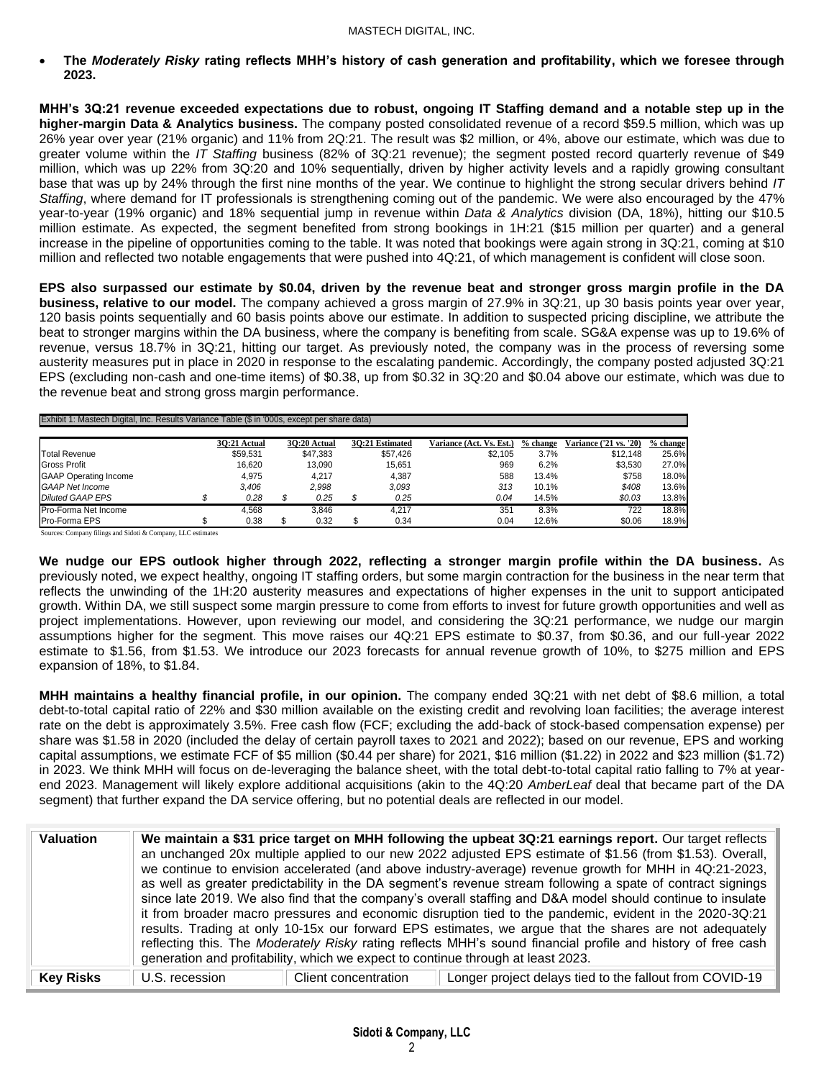• **The** *Moderately Risky* **rating reflects MHH's history of cash generation and profitability, which we foresee through 2023.**

**MHH's 3Q:21 revenue exceeded expectations due to robust, ongoing IT Staffing demand and a notable step up in the higher-margin Data & Analytics business.** The company posted consolidated revenue of a record \$59.5 million, which was up 26% year over year (21% organic) and 11% from 2Q:21. The result was \$2 million, or 4%, above our estimate, which was due to greater volume within the *IT Staffing* business (82% of 3Q:21 revenue); the segment posted record quarterly revenue of \$49 million, which was up 22% from 3Q:20 and 10% sequentially, driven by higher activity levels and a rapidly growing consultant base that was up by 24% through the first nine months of the year. We continue to highlight the strong secular drivers behind *IT Staffing*, where demand for IT professionals is strengthening coming out of the pandemic. We were also encouraged by the 47% year-to-year (19% organic) and 18% sequential jump in revenue within *Data & Analytics* division (DA, 18%), hitting our \$10.5 million estimate. As expected, the segment benefited from strong bookings in 1H:21 (\$15 million per quarter) and a general increase in the pipeline of opportunities coming to the table. It was noted that bookings were again strong in 3Q:21, coming at \$10 million and reflected two notable engagements that were pushed into 4Q:21, of which management is confident will close soon.

**EPS also surpassed our estimate by \$0.04, driven by the revenue beat and stronger gross margin profile in the DA business, relative to our model.** The company achieved a gross margin of 27.9% in 3Q:21, up 30 basis points year over year, 120 basis points sequentially and 60 basis points above our estimate. In addition to suspected pricing discipline, we attribute the beat to stronger margins within the DA business, where the company is benefiting from scale. SG&A expense was up to 19.6% of revenue, versus 18.7% in 3Q:21, hitting our target. As previously noted, the company was in the process of reversing some austerity measures put in place in 2020 in response to the escalating pandemic. Accordingly, the company posted adjusted 3Q:21 EPS (excluding non-cash and one-time items) of \$0.38, up from \$0.32 in 3Q:20 and \$0.04 above our estimate, which was due to the revenue beat and strong gross margin performance.

| Exhibit 1: Mastech Digital, Inc. Results Variance Table (\$ in '000s, except per share data) |  |              |  |              |  |                 |                          |          |                               |          |  |  |  |  |  |
|----------------------------------------------------------------------------------------------|--|--------------|--|--------------|--|-----------------|--------------------------|----------|-------------------------------|----------|--|--|--|--|--|
|                                                                                              |  |              |  |              |  |                 |                          |          |                               |          |  |  |  |  |  |
|                                                                                              |  | 30:21 Actual |  | 30:20 Actual |  | 30:21 Estimated | Variance (Act. Vs. Est.) | % change | <b>Variance ('21 vs. '20)</b> | % change |  |  |  |  |  |
| <b>Total Revenue</b>                                                                         |  | \$59,531     |  | \$47,383     |  | \$57,426        | \$2.105                  | 3.7%     | \$12.148                      | 25.6%    |  |  |  |  |  |
| <b>Gross Profit</b>                                                                          |  | 16.620       |  | 13.090       |  | 15.651          | 969                      | 6.2%     | \$3.530                       | 27.0%    |  |  |  |  |  |
| <b>GAAP Operating Income</b>                                                                 |  | 4.975        |  | 4.217        |  | 4,387           | 588                      | 13.4%    | \$758                         | 18.0%    |  |  |  |  |  |
| <b>GAAP Net Income</b>                                                                       |  | 3.406        |  | 2.998        |  | 3.093           | 313                      | 10.1%    | \$408                         | 13.6%    |  |  |  |  |  |
| <b>Diluted GAAP EPS</b>                                                                      |  | 0.28         |  | 0.25         |  | 0.25            | 0.04                     | 14.5%    | \$0.03                        | 13.8%    |  |  |  |  |  |
| Pro-Forma Net Income                                                                         |  | 4.568        |  | 3.846        |  | 4.217           | 351                      | 8.3%     | 722                           | 18.8%    |  |  |  |  |  |
| <b>Pro-Forma EPS</b>                                                                         |  | 0.38         |  | 0.32         |  | 0.34            | 0.04                     | 12.6%    | \$0.06                        | 18.9%    |  |  |  |  |  |

Sources: Company filings and Sidoti & Company, LLC estimates

**We nudge our EPS outlook higher through 2022, reflecting a stronger margin profile within the DA business.** As previously noted, we expect healthy, ongoing IT staffing orders, but some margin contraction for the business in the near term that reflects the unwinding of the 1H:20 austerity measures and expectations of higher expenses in the unit to support anticipated growth. Within DA, we still suspect some margin pressure to come from efforts to invest for future growth opportunities and well as project implementations. However, upon reviewing our model, and considering the 3Q:21 performance, we nudge our margin assumptions higher for the segment. This move raises our 4Q:21 EPS estimate to \$0.37, from \$0.36, and our full-year 2022 estimate to \$1.56, from \$1.53. We introduce our 2023 forecasts for annual revenue growth of 10%, to \$275 million and EPS expansion of 18%, to \$1.84.

**MHH maintains a healthy financial profile, in our opinion.** The company ended 3Q:21 with net debt of \$8.6 million, a total debt-to-total capital ratio of 22% and \$30 million available on the existing credit and revolving loan facilities; the average interest rate on the debt is approximately 3.5%. Free cash flow (FCF; excluding the add-back of stock-based compensation expense) per share was \$1.58 in 2020 (included the delay of certain payroll taxes to 2021 and 2022); based on our revenue, EPS and working capital assumptions, we estimate FCF of \$5 million (\$0.44 per share) for 2021, \$16 million (\$1.22) in 2022 and \$23 million (\$1.72) in 2023. We think MHH will focus on de-leveraging the balance sheet, with the total debt-to-total capital ratio falling to 7% at yearend 2023. Management will likely explore additional acquisitions (akin to the 4Q:20 *AmberLeaf* deal that became part of the DA segment) that further expand the DA service offering, but no potential deals are reflected in our model.

| <b>Valuation</b> |                | generation and profitability, which we expect to continue through at least 2023. | We maintain a \$31 price target on MHH following the upbeat 3Q:21 earnings report. Our target reflects<br>an unchanged 20x multiple applied to our new 2022 adjusted EPS estimate of \$1.56 (from \$1.53). Overall,<br>we continue to envision accelerated (and above industry-average) revenue growth for MHH in 4Q:21-2023,<br>as well as greater predictability in the DA segment's revenue stream following a spate of contract signings<br>since late 2019. We also find that the company's overall staffing and D&A model should continue to insulate<br>it from broader macro pressures and economic disruption tied to the pandemic, evident in the 2020-3Q:21<br>results. Trading at only 10-15x our forward EPS estimates, we argue that the shares are not adequately<br>reflecting this. The Moderately Risky rating reflects MHH's sound financial profile and history of free cash |
|------------------|----------------|----------------------------------------------------------------------------------|--------------------------------------------------------------------------------------------------------------------------------------------------------------------------------------------------------------------------------------------------------------------------------------------------------------------------------------------------------------------------------------------------------------------------------------------------------------------------------------------------------------------------------------------------------------------------------------------------------------------------------------------------------------------------------------------------------------------------------------------------------------------------------------------------------------------------------------------------------------------------------------------------|
| <b>Key Risks</b> | U.S. recession | Client concentration                                                             | Longer project delays tied to the fallout from COVID-19                                                                                                                                                                                                                                                                                                                                                                                                                                                                                                                                                                                                                                                                                                                                                                                                                                          |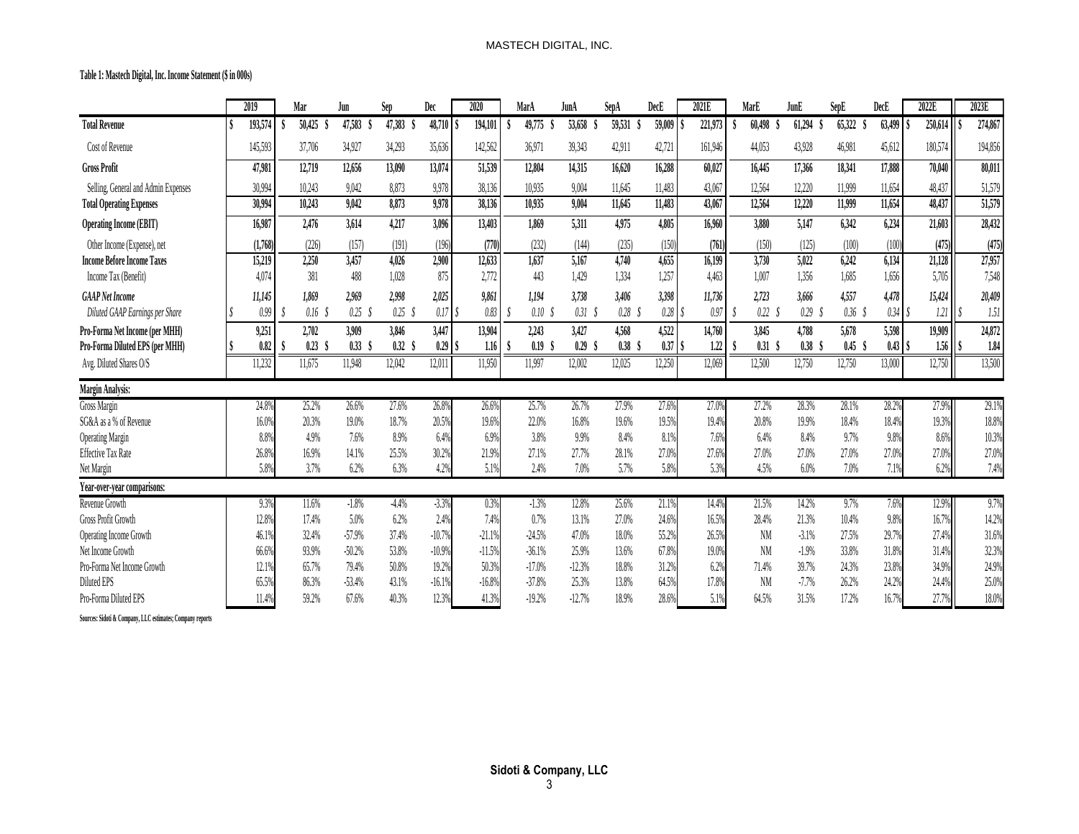**Table 1: Mastech Digital, Inc. Income Statement (\$ in 000s)**

|                                     | 2019    | Mar       | Jun               | Sep     | Dec         | 2020    |          | MarA              | JunA     | SepA   | DecE      | 2021E   | MarE              | JunE              | SepE              | DecE         | 2022E   | 2023E   |
|-------------------------------------|---------|-----------|-------------------|---------|-------------|---------|----------|-------------------|----------|--------|-----------|---------|-------------------|-------------------|-------------------|--------------|---------|---------|
| <b>Total Revenue</b>                | 193,574 | 50,425    | 47,583            | 47,383  | 48,710      | 194,101 |          | 49,775            | 53,658   | 59,531 | 59,009    | 221,973 | 60,498            | 61,294            | 65,322            | 63,499       | 250,614 | 274,867 |
| Cost of Revenue                     | 145,593 | 37,706    | 34,927            | 34,293  | 35,636      | 142,562 |          | 36,971            | 39,343   | 42,911 | 42,721    | 161,946 | 44,053            | 43,928            | 46,981            | 45,612       | 180,574 | 194,856 |
| <b>Gross Profit</b>                 | 47,981  | 12,719    | 12,656            | 13,090  | 13,074      | 51,539  |          | 12,804            | 14,315   | 16,620 | 16,288    | 60,027  | 16,445            | 17,366            | 18,341            | 17,888       | 70,040  | 80,011  |
| Selling, General and Admin Expenses | 30,994  | 10,243    | 9,042             | 8,873   | 9,978       | 38,136  |          | 10.935            | 9,004    | 11,645 | 11,483    | 43,067  | 12,564            | 12,220            | 11,999            | 11,654       | 48,437  | 51,579  |
| <b>Total Operating Expenses</b>     | 30,994  | 10,243    | 9,042             | 8,873   | 9,978       | 38,136  |          | 10,935            | 9,004    | 11,645 | 11,483    | 43,067  | 12,564            | 12,220            | 11,999            | 11,654       | 48,437  | 51,579  |
| <b>Operating Income (EBIT)</b>      | 16,987  | 2,476     | 3,614             | 4,217   | 3,096       | 13,403  |          | 1,869             | 5,311    | 4,975  | 4,805     | 16,960  | 3,880             | 5,147             | 6,342             | 6,234        | 21,603  | 28,432  |
| Other Income (Expense), net         | (1,768) | (226)     | (157)             | (191)   | (196)       |         | (770)    | (232)             | (144)    | (235)  | (150)     | (761)   | (150)             | (125)             | (100)             | (100)        | (475)   | (475)   |
| <b>Income Before Income Taxes</b>   | 15,219  | 2,250     | 3,457             | 4,026   | 2,900       | 12,633  |          | 1,637             | 5,167    | 4,740  | 4,655     | 16,199  | 3,730             | 5,022             | 6,242             | 6,134        | 21,128  | 27,957  |
| Income Tax (Benefit)                | 4,074   | 381       | 488               | 1,028   | 875         | 2,772   |          | 443               | 1,429    | 1,334  | 1,257     | 4,463   | 1,007             | 1,356             | 1,685             | 1,656        | 5,705   | 7,548   |
| <b>GAAP</b> Net Income              | 11,145  | 1,869     | 2,969             | 2,998   | 2,025       | 9,861   |          | 1,194             | 3,738    | 3,406  | 3,398     | 11,736  | 2,723             | 3,666             | 4,557             | 4,478        | 15,424  | 20,409  |
| Diluted GAAP Earnings per Share     | 0.99    | $0.16$ \$ | $0.25$ \$         | 0.25    | 0.17        |         | 0.83     | 0.10 <sub>5</sub> | 0.31S    | 0.28   | 0.28S     | 0.97    | 0.22 <sub>5</sub> | 0.29S             | 0.36 <sup>8</sup> | 0.34S        | 1.21    | 1.51    |
| Pro-Forma Net Income (per MHH)      | 9,251   | 2,702     | 3,909             | 3,846   | 3,447       | 13,904  |          | 2,243             | 3,427    | 4,568  | 4,522     | 14,760  | 3,845             | 4,788             | 5,678             | 5,598        | 19,909  | 24,872  |
| Pro-Forma Diluted EPS (per MHH)     | 0.82    | 0.23      | 0.33 <sup>°</sup> | 0.32    | $0.29$ \ \$ |         | 1.16     | 0.19              | 0.29     | 0.38   | $0.37$ \$ | 1.22    | 0.31 <sub>5</sub> | 0.38 <sup>°</sup> | 0.45 <sub>5</sub> | $0.43$ $\pm$ | 1.56    | 1.84    |
| Avg. Diluted Shares O/S             | 11,232  | 11,675    | 11,948            | 12,042  | 12,011      | 11,950  |          | 11,997            | 12,002   | 12,025 | 12,250    | 12,069  | 12,500            | 12,750            | 12,750            | 13,000       | 12,750  | 13,500  |
| Margin Analysis:                    |         |           |                   |         |             |         |          |                   |          |        |           |         |                   |                   |                   |              |         |         |
| Gross Margin                        | 24.8%   | 25.2%     | 26.6%             | 27.6%   | 26.8%       |         | 26.6%    | 25.7%             | 26.7%    | 27.9%  | 27.6%     | 27.0%   | 27.2%             | 28.3%             | 28.1%             | 28.2%        | 27.9%   | 29.1%   |
| SG&A as a % of Revenue              | 16.0%   | 20.3%     | 19.0%             | 18.7%   | 20.5%       |         | 19.6%    | 22.0%             | 16.8%    | 19.6%  | 19.5%     | 19.4%   | 20.8%             | 19.9%             | 18.4%             | 18.4%        | 19.3%   | 18.8%   |
| <b>Operating Margin</b>             | 8.8%    | 4.9%      | 7.6%              | 8.9%    | 6.4%        |         | 6.9%     | 3.8%              | 9.9%     | 8.4%   | 8.1%      | 7.6%    | 6.4%              | 8.4%              | 9.7%              | 9.8%         | 8.6%    | 10.3%   |
| <b>Effective Tax Rate</b>           | 26.8%   | 16.9%     | 14.1%             | 25.5%   | 30.2%       |         | 21.9%    | 27.1%             | 27.7%    | 28.1%  | 27.0%     | 27.6%   | 27.0%             | 27.0%             | 27.0%             | 27.0%        | 27.0%   | 27.0%   |
| Net Margin                          | 5.8%    | 3.7%      | 6.2%              | 6.3%    | 4.2%        |         | 5.1%     | 2.4%              | 7.0%     | 5.7%   | 5.8%      | 5.3%    | 4.5%              | 6.0%              | 7.0%              | 7.1%         | 6.2%    | 7.4%    |
| Year-over-year comparisons:         |         |           |                   |         |             |         |          |                   |          |        |           |         |                   |                   |                   |              |         |         |
| Revenue Growth                      | 9.3%    | 11.6%     | $-1.8%$           | $-4.4%$ | $-3.3%$     |         | 0.3%     | $-1.3%$           | 12.8%    | 25.6%  | 21.1%     | 14.4%   | 21.5%             | 14.2%             | 9.7%              | 7.6%         | 12.9%   | 9.7%    |
| <b>Gross Profit Growth</b>          | 12.8%   | 17.4%     | 5.0%              | 6.2%    | 2.4%        |         | 7.4%     | 0.7%              | 13.1%    | 27.0%  | 24.6%     | 16.5%   | 28.4%             | 21.3%             | 10.4%             | 9.8%         | 16.7%   | 14.2%   |
| Operating Income Growth             | 46.1%   | 32.4%     | $-57.9%$          | 37.4%   | $-10.7%$    |         | $-21.1%$ | $-24.5%$          | 47.0%    | 18.0%  | 55.2%     | 26.5%   | <b>NM</b>         | $-3.1%$           | 27.5%             | 29.7%        | 27.4%   | 31.6%   |
| Net Income Growth                   | 66.6%   | 93.9%     | $-50.2%$          | 53.8%   | $-10.9%$    |         | $-11.5%$ | $-36.1%$          | 25.9%    | 13.6%  | 67.8%     | 19.0%   | NM                | $-1.9%$           | 33.8%             | 31.8%        | 31.4%   | 32.3%   |
| Pro-Forma Net Income Growth         | 12.19   | 65.7%     | 79.4%             | 50.8%   | 19.2%       |         | 50.3%    | $-17.0%$          | $-12.3%$ | 18.8%  | 31.2%     | 6.2%    | 71.4%             | 39.7%             | 24.3%             | 23.8%        | 34.9%   | 24.9%   |
| Diluted EPS                         | 65.5%   | 86.3%     | $-53.4%$          | 43.1%   | $-16.1%$    |         | $-16.8%$ | $-37.8%$          | 25.3%    | 13.8%  | 64.5%     | 17.8%   | <b>NM</b>         | $-7.7%$           | 26.2%             | 24.2%        | 24.4%   | 25.0%   |
| Pro-Forma Diluted EPS               | 11.4%   | 59.2%     | 67.6%             | 40.3%   | 12.3%       |         | 41.3%    | $-19.2%$          | $-12.7%$ | 18.9%  | 28.6%     | 5.1%    | 64.5%             | 31.5%             | 17.2%             | 16.7%        | 27.7%   | 18.0%   |

**Sources: Sidoti & Company, LLC estimates; Company reports**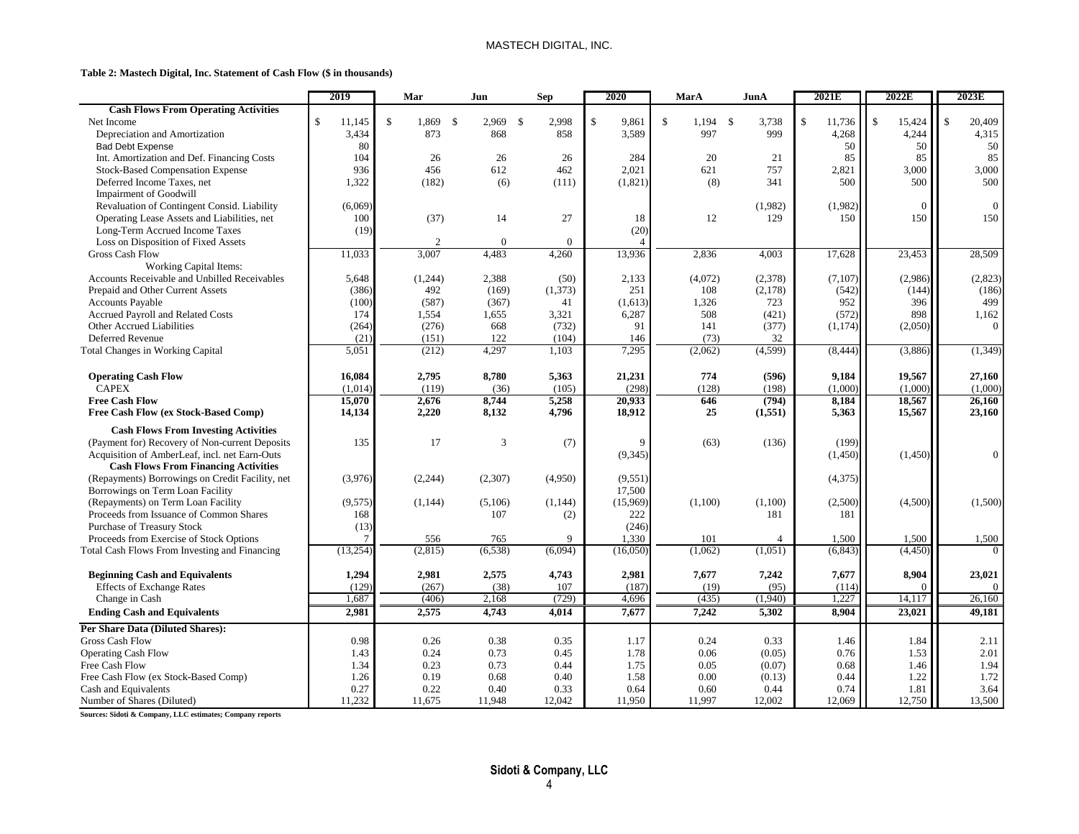#### MASTECH DIGITAL, INC.

#### **Table 2: Mastech Digital, Inc. Statement of Cash Flow (\$ in thousands)**

|                                                 | 2019         | Mar                    | Jun                   | Sep           | 2020        | MarA                             | JunA     | 2021E                        | 2022E                  | 2023E                   |
|-------------------------------------------------|--------------|------------------------|-----------------------|---------------|-------------|----------------------------------|----------|------------------------------|------------------------|-------------------------|
| <b>Cash Flows From Operating Activities</b>     |              |                        |                       |               |             |                                  |          |                              |                        |                         |
| Net Income                                      | \$<br>11,145 | $\mathbf{\$}$<br>1,869 | $\mathbf{s}$<br>2,969 | 2,998<br>- \$ | \$<br>9,861 | $\mathbf{\hat{S}}$<br>$1,194$ \$ | 3,738    | $\mathbf{\hat{S}}$<br>11,736 | $\mathbf{s}$<br>15,424 | $\mathcal{S}$<br>20,409 |
| Depreciation and Amortization                   | 3,434        | 873                    | 868                   | 858           | 3,589       | 997                              | 999      | 4,268                        | 4,244                  | 4,315                   |
| <b>Bad Debt Expense</b>                         | 80           |                        |                       |               |             |                                  |          | 50                           | 50                     | 50                      |
| Int. Amortization and Def. Financing Costs      | 104          | 26                     | 26                    | 26            | 284         | 20                               | 21       | 85                           | 85                     | 85                      |
| <b>Stock-Based Compensation Expense</b>         | 936          | 456                    | 612                   | 462           | 2,021       | 621                              | 757      | 2,821                        | 3,000                  | 3,000                   |
| Deferred Income Taxes, net                      | 1,322        | (182)                  | (6)                   | (111)         | (1,821)     | (8)                              | 341      | 500                          | 500                    | 500                     |
| <b>Impairment of Goodwill</b>                   |              |                        |                       |               |             |                                  |          |                              |                        |                         |
| Revaluation of Contingent Consid. Liability     | (6,069)      |                        |                       |               |             |                                  | (1,982)  | (1,982)                      | $\Omega$               | $\mathbf{0}$            |
| Operating Lease Assets and Liabilities, net     | 100          | (37)                   | 14                    | 27            | 18          | 12                               | 129      | 150                          | 150                    | 150                     |
| Long-Term Accrued Income Taxes                  | (19)         |                        |                       |               | (20)        |                                  |          |                              |                        |                         |
| Loss on Disposition of Fixed Assets             |              | $\mathbf{2}$           | $\mathbf{0}$          | $\mathbf{0}$  |             |                                  |          |                              |                        |                         |
| <b>Gross Cash Flow</b>                          | 11,033       | 3,007                  | 4,483                 | 4,260         | 13,936      | 2,836                            | 4,003    | 17,628                       | 23,453                 | 28,509                  |
| <b>Working Capital Items:</b>                   |              |                        |                       |               |             |                                  |          |                              |                        |                         |
| Accounts Receivable and Unbilled Receivables    | 5,648        | (1,244)                | 2,388                 | (50)          | 2,133       | (4,072)                          | (2,378)  | (7,107)                      | (2,986)                | (2,823)                 |
| Prepaid and Other Current Assets                | (386)        | 492                    | (169)                 | (1, 373)      | 251         | 108                              | (2,178)  | (542)                        | (144)                  | (186)                   |
| <b>Accounts Payable</b>                         | (100)        | (587)                  | (367)                 | 41            | (1,613)     | 1,326                            | 723      | 952                          | 396                    | 499                     |
| Accrued Payroll and Related Costs               | 174          | 1,554                  | 1,655                 | 3,321         | 6,287       | 508                              | (421)    | (572)                        | 898                    | 1,162                   |
| Other Accrued Liabilities                       | (264)        | (276)                  | 668                   | (732)         | 91          | 141                              | (377)    | (1,174)                      | (2,050)                | $\mathbf{0}$            |
| Deferred Revenue                                | (21)         | (151)                  | 122                   | (104)         | 146         | (73)                             | 32       |                              |                        |                         |
| <b>Total Changes in Working Capital</b>         | 5,051        | (212)                  | 4,297                 | 1,103         | 7,295       | (2,062)                          | (4,599)  | (8, 444)                     | (3,886)                | (1, 349)                |
|                                                 |              |                        |                       |               |             |                                  |          |                              |                        |                         |
| <b>Operating Cash Flow</b>                      | 16,084       | 2,795                  | 8,780                 | 5,363         | 21,231      | 774                              | (596)    | 9,184                        | 19,567                 | 27,160                  |
| <b>CAPEX</b>                                    | (1,014)      | (119)                  | (36)                  | (105)         | (298)       | (128)                            | (198)    | (1,000)                      | (1,000)                | (1,000)                 |
| <b>Free Cash Flow</b>                           | 15,070       | 2,676                  | 8,744                 | 5,258         | 20,933      | 646                              | (794)    | 8,184                        | 18,567                 | 26,160                  |
| Free Cash Flow (ex Stock-Based Comp)            | 14,134       | 2,220                  | 8,132                 | 4,796         | 18,912      | 25                               | (1, 551) | 5,363                        | 15,567                 | 23,160                  |
| <b>Cash Flows From Investing Activities</b>     |              |                        |                       |               |             |                                  |          |                              |                        |                         |
| (Payment for) Recovery of Non-current Deposits  | 135          | 17                     | 3                     | (7)           | 9           | (63)                             | (136)    | (199)                        |                        |                         |
| Acquisition of AmberLeaf, incl. net Earn-Outs   |              |                        |                       |               | (9, 345)    |                                  |          | (1,450)                      | (1,450)                | $\overline{0}$          |
| <b>Cash Flows From Financing Activities</b>     |              |                        |                       |               |             |                                  |          |                              |                        |                         |
| (Repayments) Borrowings on Credit Facility, net | (3,976)      | (2,244)                | (2,307)               | (4,950)       | (9,551)     |                                  |          | (4,375)                      |                        |                         |
| Borrowings on Term Loan Facility                |              |                        |                       |               | 17,500      |                                  |          |                              |                        |                         |
| (Repayments) on Term Loan Facility              | (9,575)      | (1,144)                | (5,106)               | (1, 144)      | (15,969)    | (1,100)                          | (1,100)  | (2,500)                      | (4,500)                | (1,500)                 |
| Proceeds from Issuance of Common Shares         | 168          |                        | 107                   | (2)           | 222         |                                  | 181      | 181                          |                        |                         |
| <b>Purchase of Treasury Stock</b>               | (13)         |                        |                       |               | (246)       |                                  |          |                              |                        |                         |
| Proceeds from Exercise of Stock Options         | 7            | 556                    | 765                   | $\mathbf Q$   | 1,330       | 101                              | Δ        | 1,500                        | 1,500                  | 1,500                   |
| Total Cash Flows From Investing and Financing   | (13,254)     | (2, 815)               | (6, 538)              | (6,094)       | (16,050)    | (1,062)                          | (1,051)  | (6, 843)                     | (4, 450)               | $\theta$                |
| <b>Beginning Cash and Equivalents</b>           | 1,294        | 2,981                  | 2,575                 | 4,743         | 2,981       | 7,677                            | 7,242    | 7,677                        | 8,904                  | 23,021                  |
| <b>Effects of Exchange Rates</b>                | (129)        | (267)                  | (38)                  | 107           | (187)       | (19)                             | (95)     | (114)                        |                        | $\mathbf{0}$            |
| Change in Cash                                  | 1,687        | (406)                  | 2,168                 | (729)         | 4,696       | (435)                            | (1,940)  | 1,227                        | 14,117                 | 26,160                  |
| <b>Ending Cash and Equivalents</b>              | 2,981        | 2,575                  | 4,743                 | 4,014         | 7,677       | 7,242                            | 5,302    | 8,904                        | 23,021                 | 49,181                  |
| Per Share Data (Diluted Shares):                |              |                        |                       |               |             |                                  |          |                              |                        |                         |
| <b>Gross Cash Flow</b>                          | 0.98         | 0.26                   | 0.38                  | 0.35          | 1.17        | 0.24                             | 0.33     | 1.46                         | 1.84                   | 2.11                    |
| <b>Operating Cash Flow</b>                      | 1.43         | 0.24                   | 0.73                  | 0.45          | 1.78        | 0.06                             | (0.05)   | 0.76                         | 1.53                   | 2.01                    |
| Free Cash Flow                                  | 1.34         | 0.23                   | 0.73                  | 0.44          | 1.75        | 0.05                             | (0.07)   | 0.68                         | 1.46                   | 1.94                    |
| Free Cash Flow (ex Stock-Based Comp)            | 1.26         | 0.19                   | 0.68                  | 0.40          | 1.58        | 0.00                             | (0.13)   | 0.44                         | 1.22                   | 1.72                    |
| Cash and Equivalents                            | 0.27         | 0.22                   | 0.40                  | 0.33          | 0.64        | 0.60                             | 0.44     | 0.74                         | 1.81                   | 3.64                    |
| Number of Shares (Diluted)                      | 11.232       | 11,675                 | 11,948                | 12,042        | 11.950      | 11.997                           | 12,002   | 12,069                       | 12,750                 | 13,500                  |

**Sources: Sidoti & Company, LLC estimates; Company reports**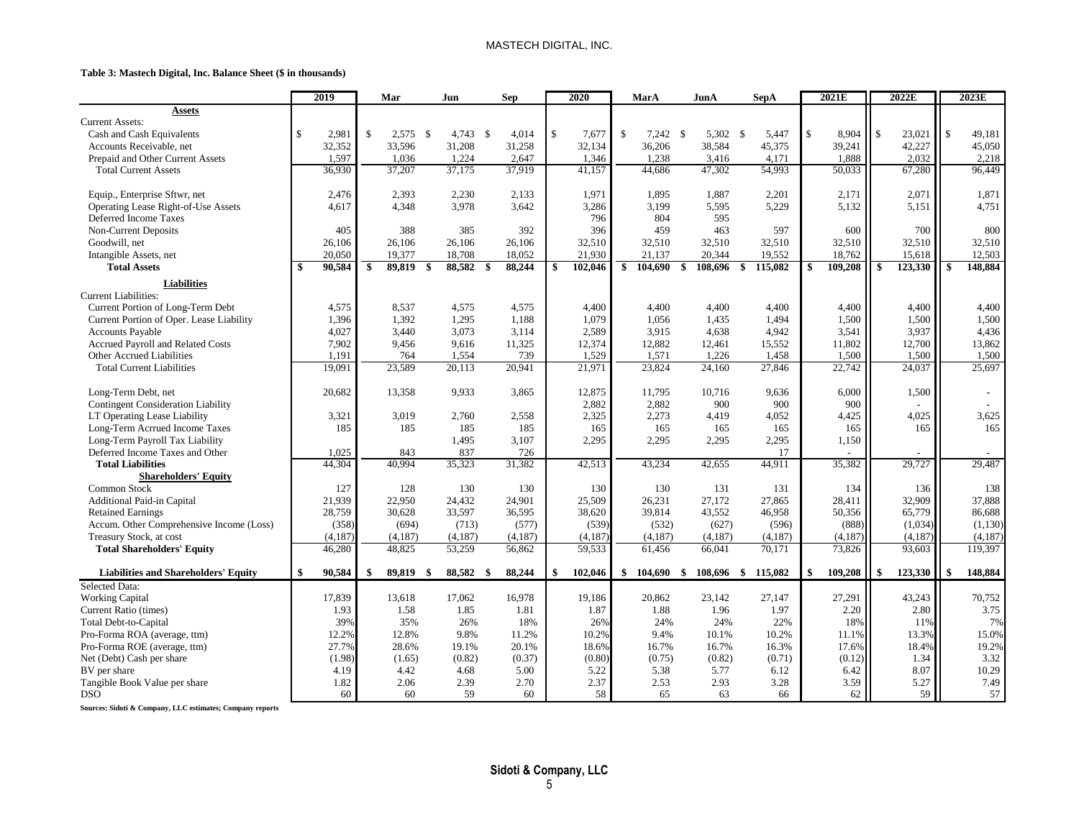#### MASTECH DIGITAL, INC.

#### **Table 3: Mastech Digital, Inc. Balance Sheet (\$ in thousands)**

|                                                   |     | 2019    |              | Mar           | Jun        | <b>Sep</b>   |         |              | 2020    | MarA          |            | JunA              | <b>SepA</b>    | 2021E         |               | 2022E   |               | 2023E    |
|---------------------------------------------------|-----|---------|--------------|---------------|------------|--------------|---------|--------------|---------|---------------|------------|-------------------|----------------|---------------|---------------|---------|---------------|----------|
| <b>Assets</b>                                     |     |         |              |               |            |              |         |              |         |               |            |                   |                |               |               |         |               |          |
| <b>Current Assets:</b>                            |     |         |              |               |            |              |         |              |         |               |            |                   |                |               |               |         |               |          |
| Cash and Cash Equivalents                         | \$  | 2,981   | $\mathbf{s}$ | 2,575<br>-\$  | $4,743$ \$ |              | 4,014   | $\mathbb{S}$ | 7,677   | $\mathbb{S}$  | $7,242$ \$ | 5,302 \$          | 5,447          | \$<br>8,904   | $\mathbb{S}$  | 23,021  | $\mathcal{S}$ | 49,181   |
| Accounts Receivable, net                          |     | 32,352  |              | 33,596        | 31,208     | 31,258       |         |              | 32,134  | 36,206        |            | 38,584            | 45,375         | 39,241        |               | 42,227  |               | 45,050   |
| Prepaid and Other Current Assets                  |     | 1,597   |              | 1,036         | 1,224      |              | 2,647   |              | 1,346   | 1,238         |            | 3,416             | 4,171          | 1,888         |               | 2,032   |               | 2,218    |
| <b>Total Current Assets</b>                       |     | 36,930  |              | 37,207        | 37,175     |              | 37,919  |              | 41,157  | 44,686        |            | 47,302            | 54,993         | 50,033        |               | 67,280  |               | 96,449   |
| Equip., Enterprise Sftwr, net                     |     | 2,476   |              | 2,393         | 2,230      |              | 2,133   |              | 1,971   | 1,895         |            | 1,887             | 2,201          | 2,171         |               | 2,071   |               | 1,871    |
| Operating Lease Right-of-Use Assets               |     | 4,617   |              | 4,348         | 3.978      |              | 3,642   |              | 3,286   | 3,199         |            | 5,595             | 5,229          | 5,132         |               | 5,151   |               | 4,751    |
| Deferred Income Taxes                             |     |         |              |               |            |              |         |              | 796     |               | 804        | 595               |                |               |               |         |               |          |
| <b>Non-Current Deposits</b>                       |     | 405     |              | 388           | 385        |              | 392     |              | 396     |               | 459        | 463               | 597            | 600           |               | 700     |               | 800      |
| Goodwill, net                                     |     | 26,106  |              | 26,106        | 26,106     | 26,106       |         |              | 32,510  | 32,510        |            | 32,510            | 32,510         | 32,510        |               | 32,510  |               | 32,510   |
| Intangible Assets, net                            |     | 20,050  |              | 19,377        | 18,708     | 18,052       |         |              | 21,930  | 21,137        |            | 20,344            | 19,552         | 18,762        |               | 15,618  |               | 12,503   |
| <b>Total Assets</b>                               |     | 90,584  | $\mathbf{s}$ | 89,819<br>\$  | 88,582     | \$<br>88,244 |         | \$           | 102,046 | \$<br>104,690 |            | 108,696<br>\$     | -\$<br>115,082 | \$<br>109,208 | -\$           | 123,330 | \$            | 148,884  |
|                                                   |     |         |              |               |            |              |         |              |         |               |            |                   |                |               |               |         |               |          |
| <b>Liabilities</b><br><b>Current Liabilities:</b> |     |         |              |               |            |              |         |              |         |               |            |                   |                |               |               |         |               |          |
| Current Portion of Long-Term Debt                 |     | 4,575   |              | 8,537         | 4,575      |              | 4,575   |              | 4,400   | 4,400         |            | 4,400             | 4,400          | 4,400         |               | 4,400   |               | 4,400    |
| Current Portion of Oper. Lease Liability          |     | 1,396   |              | 1,392         | 1,295      |              | 1,188   |              | 1,079   | 1,056         |            | 1,435             | 1,494          | 1,500         |               | 1,500   |               | 1,500    |
| <b>Accounts Payable</b>                           |     | 4,027   |              | 3,440         | 3,073      |              | 3,114   |              | 2,589   | 3.915         |            | 4,638             | 4,942          | 3,541         |               | 3,937   |               | 4,436    |
| Accrued Payroll and Related Costs                 |     | 7,902   |              | 9,456         | 9,616      |              | 11,325  |              | 12,374  | 12,882        |            | 12,461            | 15,552         | 11,802        |               | 12,700  |               | 13,862   |
| Other Accrued Liabilities                         |     | 1.191   |              | 764           | 1,554      |              | 739     |              | 1,529   | 1,571         |            | 1,226             | 1,458          | 1,500         |               | 1,500   |               | 1,500    |
| <b>Total Current Liabilities</b>                  |     | 19,091  |              | 23,589        | 20,113     | 20,941       |         |              | 21,971  | 23,824        |            | 24,160            | 27,846         | 22,742        |               | 24,037  |               | 25,697   |
|                                                   |     |         |              |               |            |              |         |              |         |               |            |                   |                |               |               |         |               |          |
| Long-Term Debt, net                               |     | 20,682  |              | 13,358        | 9,933      |              | 3,865   |              | 12,875  | 11,795        |            | 10,716            | 9,636          | 6,000         |               | 1,500   |               |          |
| <b>Contingent Consideration Liability</b>         |     |         |              |               |            |              |         |              | 2,882   | 2,882         |            | 900               | 900            | 900           |               |         |               |          |
| LT Operating Lease Liability                      |     | 3,321   |              | 3,019         | 2,760      |              | 2,558   |              | 2,325   | 2,273         |            | 4,419             | 4,052          | 4,425         |               | 4,025   |               | 3,625    |
| Long-Term Acrrued Income Taxes                    |     | 185     |              | 185           | 185        |              | 185     |              | 165     |               | 165        | 165               | 165            | 165           |               | 165     |               | 165      |
| Long-Term Payroll Tax Liability                   |     |         |              |               | 1,495      |              | 3,107   |              | 2,295   | 2,295         |            | 2,295             | 2,295          | 1,150         |               |         |               |          |
| Deferred Income Taxes and Other                   |     | 1,025   |              | 843           | 837        |              | 726     |              |         |               |            |                   | 17             |               |               |         |               |          |
| <b>Total Liabilities</b>                          |     | 44,304  |              | 40,994        | 35,323     |              | 31,382  |              | 42,513  | 43,234        |            | 42,655            | 44,911         | 35,382        |               | 29,727  |               | 29,487   |
| <b>Shareholders' Equity</b>                       |     |         |              |               |            |              |         |              |         |               |            |                   |                |               |               |         |               |          |
| Common Stock                                      |     | 127     |              | 128           | 130        |              | 130     |              | 130     |               | 130        | 131               | 131            | 134           |               | 136     |               | 138      |
| Additional Paid-in Capital                        |     | 21,939  |              | 22,950        | 24,432     | 24,901       |         |              | 25,509  | 26,231        |            | 27,172            | 27,865         | 28,411        |               | 32,909  |               | 37,888   |
| <b>Retained Earnings</b>                          |     | 28,759  |              | 30,628        | 33,597     |              | 36,595  |              | 38,620  | 39,814        |            | 43,552            | 46,958         | 50,356        |               | 65,779  |               | 86,688   |
| Accum. Other Comprehensive Income (Loss)          |     | (358)   |              | (694)         | (713)      |              | (577)   |              | (539)   |               | (532)      | (627)             | (596)          | (888)         |               | (1,034) |               | (1, 130) |
| Treasury Stock, at cost                           |     | (4,187) |              | (4,187)       | (4,187)    |              | (4,187) |              | (4,187) | (4,187)       |            | (4,187)           | (4,187)        | (4,187)       |               | (4,187) |               | (4,187)  |
| <b>Total Shareholders' Equity</b>                 |     | 46,280  |              | 48,825        | 53,259     | 56,862       |         |              | 59,533  | 61,456        |            | 66,041            | 70,171         | 73,826        |               | 93,603  |               | 119,397  |
| <b>Liabilities and Shareholders' Equity</b>       | -\$ | 90,584  | \$           | 89,819<br>-\$ | 88,582 \$  | 88,244       |         | \$           | 102,046 | 104,690<br>\$ |            | -\$<br>108,696 \$ | 115,082        | \$<br>109,208 | <sup>\$</sup> | 123,330 | \$            | 148,884  |
| Selected Data:                                    |     |         |              |               |            |              |         |              |         |               |            |                   |                |               |               |         |               |          |
| <b>Working Capital</b>                            |     | 17,839  |              | 13,618        | 17,062     |              | 16,978  |              | 19,186  | 20,862        |            | 23,142            | 27,147         | 27,291        |               | 43,243  |               | 70,752   |
| Current Ratio (times)                             |     | 1.93    |              | 1.58          | 1.85       |              | 1.81    |              | 1.87    |               | 1.88       | 1.96              | 1.97           | 2.20          |               | 2.80    |               | 3.75     |
| Total Debt-to-Capital                             |     | 39%     |              | 35%           | 26%        |              | 18%     |              | 26%     |               | 24%        | 24%               | 22%            | 18%           |               | 11%     |               | 7%       |
| Pro-Forma ROA (average, ttm)                      |     | 12.2%   |              | 12.8%         | 9.8%       |              | 11.2%   |              | 10.2%   |               | 9.4%       | 10.1%             | 10.2%          | 11.1%         |               | 13.3%   |               | 15.0%    |
| Pro-Forma ROE (average, ttm)                      |     | 27.7%   |              | 28.6%         | 19.1%      |              | 20.1%   |              | 18.6%   | 16.7%         |            | 16.7%             | 16.3%          | 17.6%         |               | 18.4%   |               | 19.2%    |
| Net (Debt) Cash per share                         |     | (1.98)  |              | (1.65)        | (0.82)     |              | (0.37)  |              | (0.80)  | (0.75)        |            | (0.82)            | (0.71)         | (0.12)        |               | 1.34    |               | 3.32     |
| BV per share                                      |     | 4.19    |              | 4.42          | 4.68       |              | 5.00    |              | 5.22    |               | 5.38       | 5.77              | 6.12           | 6.42          |               | 8.07    |               | 10.29    |
| Tangible Book Value per share                     |     | 1.82    |              | 2.06          | 2.39       |              | 2.70    |              | 2.37    |               | 2.53       | 2.93              | 3.28           | 3.59          |               | 5.27    |               | 7.49     |
| <b>DSO</b>                                        |     | 60      |              | 60            | 59         |              | 60      |              | 58      |               | 65         | 63                | 66             | 62            |               | 59      |               | 57       |

**Sources: Sidoti & Company, LLC estimates; Company reports**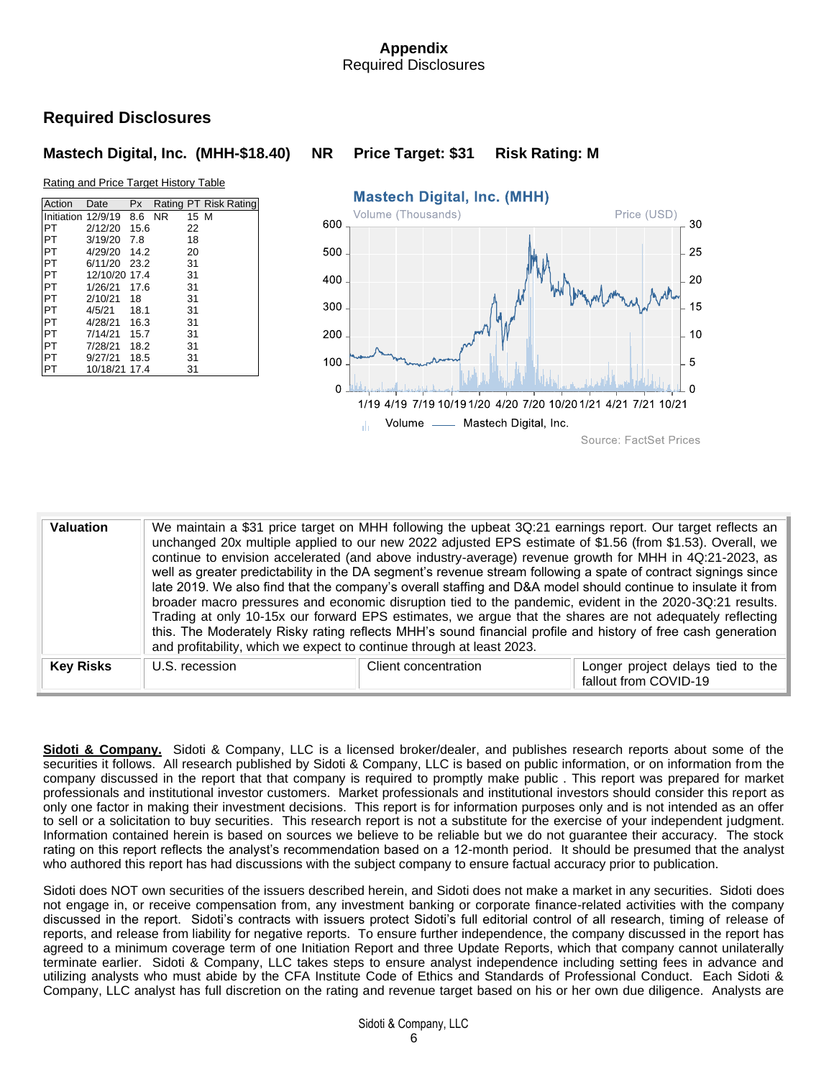# **Appendix** Required Disclosures

# **Required Disclosures**

## **Mastech Digital, Inc. (MHH-\$18.40) NR Price Target: \$31 Risk Rating: M**





| <b>Valuation</b> | and profitability, which we expect to continue through at least 2023. | We maintain a \$31 price target on MHH following the upbeat 3Q:21 earnings report. Our target reflects an<br>unchanged 20x multiple applied to our new 2022 adjusted EPS estimate of \$1.56 (from \$1.53). Overall, we<br>continue to envision accelerated (and above industry-average) revenue growth for MHH in 4Q:21-2023, as<br>well as greater predictability in the DA segment's revenue stream following a spate of contract signings since<br>late 2019. We also find that the company's overall staffing and D&A model should continue to insulate it from<br>broader macro pressures and economic disruption tied to the pandemic, evident in the 2020-3Q:21 results.<br>Trading at only 10-15x our forward EPS estimates, we argue that the shares are not adequately reflecting<br>this. The Moderately Risky rating reflects MHH's sound financial profile and history of free cash generation |                                                            |  |  |  |  |
|------------------|-----------------------------------------------------------------------|-------------------------------------------------------------------------------------------------------------------------------------------------------------------------------------------------------------------------------------------------------------------------------------------------------------------------------------------------------------------------------------------------------------------------------------------------------------------------------------------------------------------------------------------------------------------------------------------------------------------------------------------------------------------------------------------------------------------------------------------------------------------------------------------------------------------------------------------------------------------------------------------------------------|------------------------------------------------------------|--|--|--|--|
| <b>Key Risks</b> | U.S. recession                                                        | Client concentration                                                                                                                                                                                                                                                                                                                                                                                                                                                                                                                                                                                                                                                                                                                                                                                                                                                                                        | Longer project delays tied to the<br>fallout from COVID-19 |  |  |  |  |

**Sidoti & Company.**Sidoti & Company, LLC is a licensed broker/dealer, and publishes research reports about some of the securities it follows. All research published by Sidoti & Company, LLC is based on public information, or on information from the company discussed in the report that that company is required to promptly make public . This report was prepared for market professionals and institutional investor customers. Market professionals and institutional investors should consider this report as only one factor in making their investment decisions. This report is for information purposes only and is not intended as an offer to sell or a solicitation to buy securities. This research report is not a substitute for the exercise of your independent judgment. Information contained herein is based on sources we believe to be reliable but we do not guarantee their accuracy. The stock rating on this report reflects the analyst's recommendation based on a 12-month period. It should be presumed that the analyst who authored this report has had discussions with the subject company to ensure factual accuracy prior to publication.

Sidoti does NOT own securities of the issuers described herein, and Sidoti does not make a market in any securities. Sidoti does not engage in, or receive compensation from, any investment banking or corporate finance-related activities with the company discussed in the report. Sidoti's contracts with issuers protect Sidoti's full editorial control of all research, timing of release of reports, and release from liability for negative reports. To ensure further independence, the company discussed in the report has agreed to a minimum coverage term of one Initiation Report and three Update Reports, which that company cannot unilaterally terminate earlier. Sidoti & Company, LLC takes steps to ensure analyst independence including setting fees in advance and utilizing analysts who must abide by the CFA Institute Code of Ethics and Standards of Professional Conduct. Each Sidoti & Company, LLC analyst has full discretion on the rating and revenue target based on his or her own due diligence. Analysts are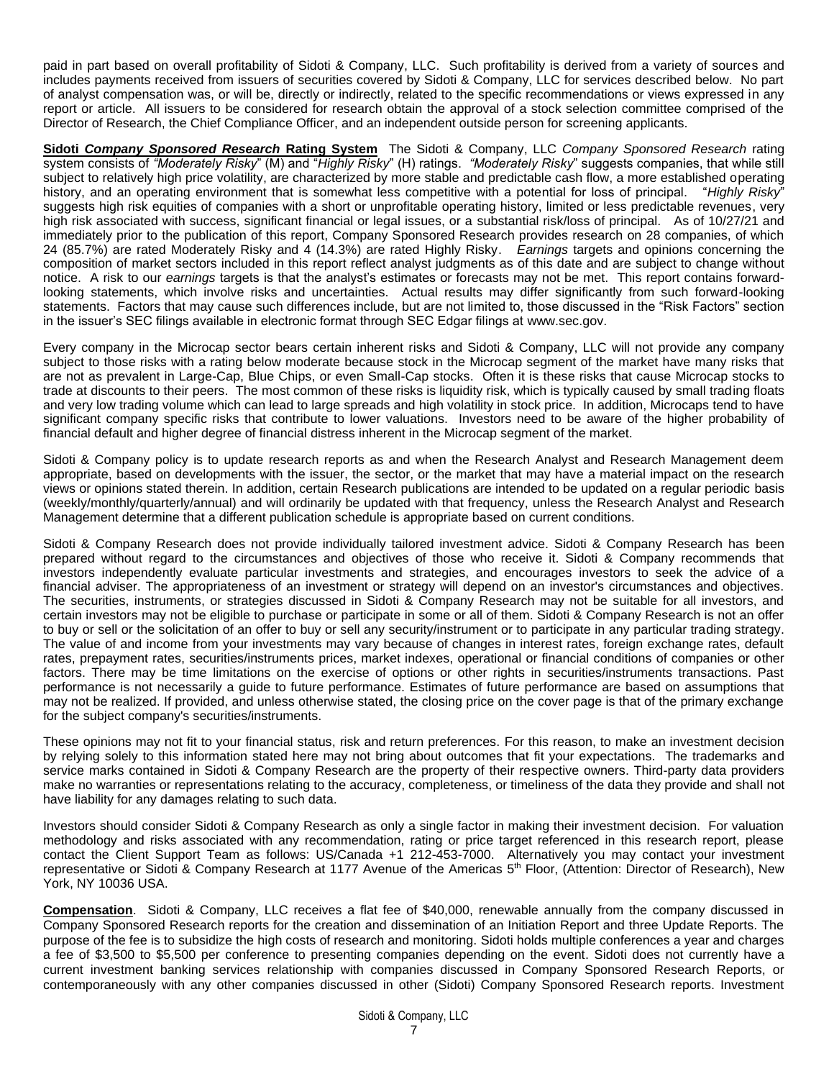paid in part based on overall profitability of Sidoti & Company, LLC. Such profitability is derived from a variety of sources and includes payments received from issuers of securities covered by Sidoti & Company, LLC for services described below. No part of analyst compensation was, or will be, directly or indirectly, related to the specific recommendations or views expressed in any report or article. All issuers to be considered for research obtain the approval of a stock selection committee comprised of the Director of Research, the Chief Compliance Officer, and an independent outside person for screening applicants.

**Sidoti** *Company Sponsored Research* **Rating System** The Sidoti & Company, LLC *Company Sponsored Research* rating system consists of *"Moderately Risky*" (M) and "*Highly Risky*" (H) ratings. *"Moderately Risky*" suggests companies, that while still subject to relatively high price volatility, are characterized by more stable and predictable cash flow, a more established operating history, and an operating environment that is somewhat less competitive with a potential for loss of principal. "*Highly Risky*" suggests high risk equities of companies with a short or unprofitable operating history, limited or less predictable revenues, very high risk associated with success, significant financial or legal issues, or a substantial risk/loss of principal. As of 10/27/21 and immediately prior to the publication of this report, Company Sponsored Research provides research on 28 companies, of which 24 (85.7%) are rated Moderately Risky and 4 (14.3%) are rated Highly Risky. *Earnings* targets and opinions concerning the composition of market sectors included in this report reflect analyst judgments as of this date and are subject to change without notice. A risk to our *earnings* targets is that the analyst's estimates or forecasts may not be met. This report contains forwardlooking statements, which involve risks and uncertainties. Actual results may differ significantly from such forward-looking statements. Factors that may cause such differences include, but are not limited to, those discussed in the "Risk Factors" section in the issuer's SEC filings available in electronic format through SEC Edgar filings at [www.sec.gov.](http://www.sec.gov/)

Every company in the Microcap sector bears certain inherent risks and Sidoti & Company, LLC will not provide any company subject to those risks with a rating below moderate because stock in the Microcap segment of the market have many risks that are not as prevalent in Large-Cap, Blue Chips, or even Small-Cap stocks. Often it is these risks that cause Microcap stocks to trade at discounts to their peers. The most common of these risks is liquidity risk, which is typically caused by small trading floats and very low trading volume which can lead to large spreads and high volatility in stock price. In addition, Microcaps tend to have significant company specific risks that contribute to lower valuations. Investors need to be aware of the higher probability of financial default and higher degree of financial distress inherent in the Microcap segment of the market.

Sidoti & Company policy is to update research reports as and when the Research Analyst and Research Management deem appropriate, based on developments with the issuer, the sector, or the market that may have a material impact on the research views or opinions stated therein. In addition, certain Research publications are intended to be updated on a regular periodic basis (weekly/monthly/quarterly/annual) and will ordinarily be updated with that frequency, unless the Research Analyst and Research Management determine that a different publication schedule is appropriate based on current conditions.

Sidoti & Company Research does not provide individually tailored investment advice. Sidoti & Company Research has been prepared without regard to the circumstances and objectives of those who receive it. Sidoti & Company recommends that investors independently evaluate particular investments and strategies, and encourages investors to seek the advice of a financial adviser. The appropriateness of an investment or strategy will depend on an investor's circumstances and objectives. The securities, instruments, or strategies discussed in Sidoti & Company Research may not be suitable for all investors, and certain investors may not be eligible to purchase or participate in some or all of them. Sidoti & Company Research is not an offer to buy or sell or the solicitation of an offer to buy or sell any security/instrument or to participate in any particular trading strategy. The value of and income from your investments may vary because of changes in interest rates, foreign exchange rates, default rates, prepayment rates, securities/instruments prices, market indexes, operational or financial conditions of companies or other factors. There may be time limitations on the exercise of options or other rights in securities/instruments transactions. Past performance is not necessarily a guide to future performance. Estimates of future performance are based on assumptions that may not be realized. If provided, and unless otherwise stated, the closing price on the cover page is that of the primary exchange for the subject company's securities/instruments.

These opinions may not fit to your financial status, risk and return preferences. For this reason, to make an investment decision by relying solely to this information stated here may not bring about outcomes that fit your expectations. The trademarks and service marks contained in Sidoti & Company Research are the property of their respective owners. Third-party data providers make no warranties or representations relating to the accuracy, completeness, or timeliness of the data they provide and shall not have liability for any damages relating to such data.

Investors should consider Sidoti & Company Research as only a single factor in making their investment decision. For valuation methodology and risks associated with any recommendation, rating or price target referenced in this research report, please contact the Client Support Team as follows: US/Canada +1 212-453-7000. Alternatively you may contact your investment representative or Sidoti & Company Research at 1177 Avenue of the Americas 5<sup>th</sup> Floor, (Attention: Director of Research), New York, NY 10036 USA.

**Compensation**. Sidoti & Company, LLC receives a flat fee of \$40,000, renewable annually from the company discussed in Company Sponsored Research reports for the creation and dissemination of an Initiation Report and three Update Reports. The purpose of the fee is to subsidize the high costs of research and monitoring. Sidoti holds multiple conferences a year and charges a fee of \$3,500 to \$5,500 per conference to presenting companies depending on the event. Sidoti does not currently have a current investment banking services relationship with companies discussed in Company Sponsored Research Reports, or contemporaneously with any other companies discussed in other (Sidoti) Company Sponsored Research reports. Investment